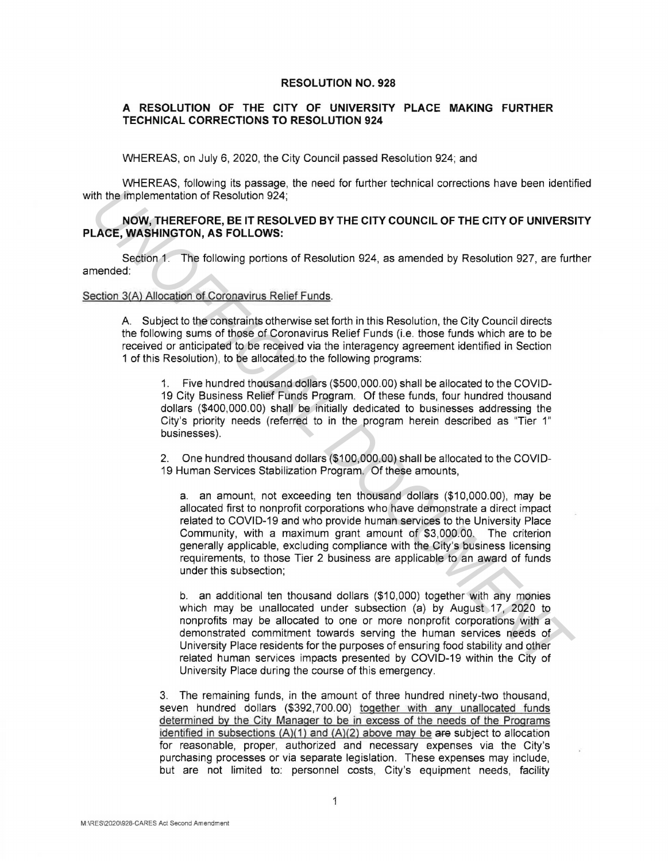## **RESOLUTION NO. 928**

## **A RESOLUTION OF THE CITY OF UNIVERSITY PLACE MAKING FURTHER TECHNICAL CORRECTIONS TO RESOLUTION 924**

WHEREAS, on July 6, 2020, the City Council passed Resolution 924; and

WHEREAS, following its passage, the need for further technical corrections have been identified with the implementation of Resolution 924:

## **NOW, THEREFORE, BE IT RESOLVED BY THE CITY COUNCIL OF THE CITY OF UNIVERSITY PLACE, WASHINGTON, AS FOLLOWS:**

Section 1. The following portions of Resolution 924, as amended by Resolution 927, are further amended:

## Section 3(A) Allocation of Coronavirus Relief Funds.

A. Subject to the constraints otherwise set forth in this Resolution, the City Council directs the following sums of those of Coronavirus Relief Funds (i.e. those funds which are to be received or anticipated to be received via the interagency agreement identified in Section 1 of this Resolution), to be allocated to the following programs:

1. Five hundred thousand dollars (\$500,000.00) shall be allocated to the COVID-19 City Business Relief Funds Program. Of these funds, four hundred thousand dollars (\$400,000.00) shall be initially dedicated to businesses addressing the City's priority needs (referred to in the program herein described as "Tier 1" businesses).

2. One hundred thousand dollars (\$100,000.00) shall be allocated to the COVID-19 Human Services Stabilization Program. Of these amounts,

a. an amount, not exceeding ten thousand dollars (\$10,000.00), may be allocated first to nonprofit corporations who have demonstrate a direct impact related to COVID-19 and who provide human services to the University Place Community, with a maximum grant amount of \$3,000.00. The criterion generally applicable, excluding compliance with the City's business licensing requirements, to those Tier 2 business are applicable to an award of funds under this subsection; **NOW, THEREFORE, BEIT RESOLVED BY THE CITY COUNCIL OF THE CITY OF UNIVERS<br>
NOW, THEREFORE, BEIT RESOLVED BY THE CITY COUNCIL OF THE CITY OF UNIVERS<br>
Següion 1. The following portions of Resolution 924, as amended by Resolu** 

b. an additional ten thousand dollars (\$10,000) together with any monies which may be unallocated under subsection (a) by August 17, 2020 to nonprofits may be allocated to one or more nonprofit corporations with a demonstrated commitment towards serving the human services needs of University Place residents for the purposes of ensuring food stability and other related human services impacts presented by COVID-19 within the City of University Place during the course of this emergency.

3. The remaining funds, in the amount of three hundred ninety-two thousand, seven hundred dollars (\$392,700.00) together with any unallocated funds determined by the City Manager to be in excess of the needs of the Programs identified in subsections  $(A)(1)$  and  $(A)(2)$  above may be are subject to allocation for reasonable, proper, authorized and necessary expenses via the City's purchasing processes or via separate legislation. These expenses may include, but are not limited to: personnel costs, City's equipment needs, facility